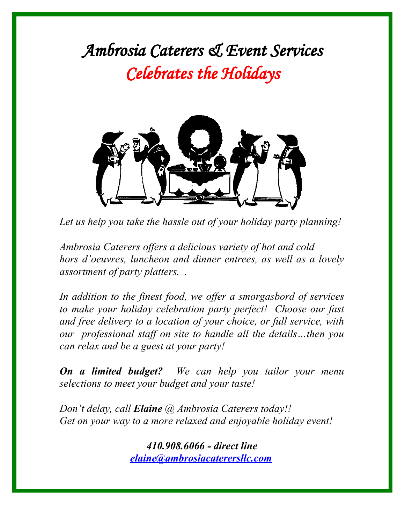*Ambrosia Caterers & Event Services Celebrates the Holidays*



*Let us help you take the hassle out of your holiday party planning!*

*Ambrosia Caterers offers a delicious variety of hot and cold hors d'oeuvres, luncheon and dinner entrees, as well as a lovely assortment of party platters. .*

*In addition to the finest food, we offer a smorgasbord of services to make your holiday celebration party perfect! Choose our fast and free delivery to a location of your choice, or full service, with our professional staff on site to handle all the details…then you can relax and be a guest at your party!*

*On a limited budget? We can help you tailor your menu selections to meet your budget and your taste!*

*Don't delay, call Elaine @ Ambrosia Caterers today!! Get on your way to a more relaxed and enjoyable holiday event!*

> *410.908.6066 - direct line [elaine@ambrosiacaterersllc.com](mailto:elaine@ambrosiacatererslls.com)*